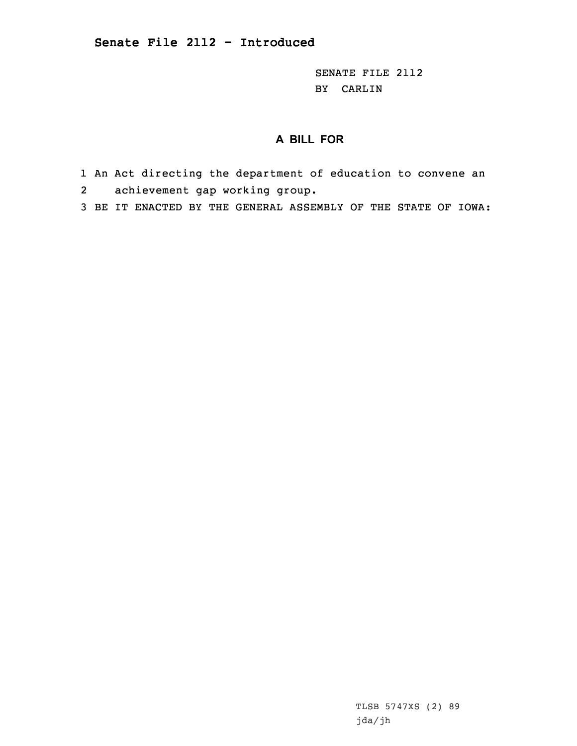SENATE FILE 2112 BY CARLIN

## **A BILL FOR**

- 1 An Act directing the department of education to convene an 2achievement gap working group.
- 3 BE IT ENACTED BY THE GENERAL ASSEMBLY OF THE STATE OF IOWA:

TLSB 5747XS (2) 89 jda/jh